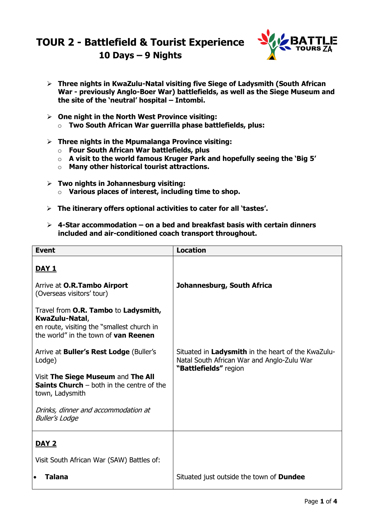## **TOUR 2 - Battlefield & Tourist Experience 10 Days – 9 Nights**



- **Three nights in KwaZulu-Natal visiting five Siege of Ladysmith (South African War - previously Anglo-Boer War) battlefields, as well as the Siege Museum and the site of the 'neutral' hospital – Intombi.**
- **One night in the North West Province visiting:** o **Two South African War guerrilla phase battlefields, plus:**
- **Three nights in the Mpumalanga Province visiting:**
	- o **Four South African War battlefields, plus**
	- o **A visit to the world famous Kruger Park and hopefully seeing the 'Big 5'**
	- o **Many other historical tourist attractions.**
- **Two nights in Johannesburg visiting:**
	- o **Various places of interest, including time to shop.**
- **The itinerary offers optional activities to cater for all 'tastes'.**
- **4-Star accommodation – on a bed and breakfast basis with certain dinners included and air-conditioned coach transport throughout.**

| <b>Event</b>                                                                                                                                 | <b>Location</b>                                                                                                           |
|----------------------------------------------------------------------------------------------------------------------------------------------|---------------------------------------------------------------------------------------------------------------------------|
| <u>DAY 1</u>                                                                                                                                 |                                                                                                                           |
| Arrive at O.R.Tambo Airport<br>(Overseas visitors' tour)                                                                                     | Johannesburg, South Africa                                                                                                |
| Travel from O.R. Tambo to Ladysmith,<br>KwaZulu-Natal,<br>en route, visiting the "smallest church in<br>the world" in the town of van Reenen |                                                                                                                           |
| Arrive at <b>Buller's Rest Lodge</b> (Buller's<br>Lodge)                                                                                     | Situated in Ladysmith in the heart of the KwaZulu-<br>Natal South African War and Anglo-Zulu War<br>"Battlefields" region |
| Visit The Siege Museum and The All<br><b>Saints Church</b> $-$ both in the centre of the<br>town, Ladysmith                                  |                                                                                                                           |
| Drinks, dinner and accommodation at<br><b>Buller's Lodge</b>                                                                                 |                                                                                                                           |
| <b>DAY 2</b>                                                                                                                                 |                                                                                                                           |
| Visit South African War (SAW) Battles of:                                                                                                    |                                                                                                                           |
| <b>Talana</b><br>$\bullet$                                                                                                                   | Situated just outside the town of <b>Dundee</b>                                                                           |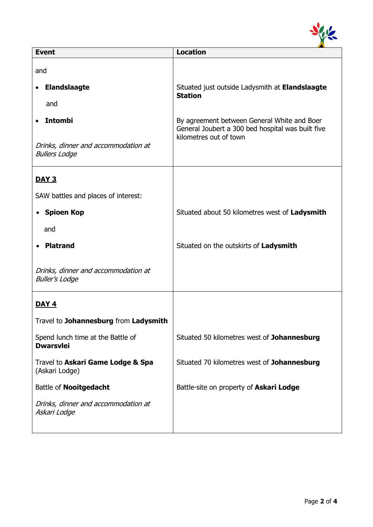

| <b>Event</b>                                                 | <b>Location</b>                                                                                  |
|--------------------------------------------------------------|--------------------------------------------------------------------------------------------------|
| and                                                          |                                                                                                  |
| <b>Elandslaagte</b>                                          | Situated just outside Ladysmith at Elandslaagte<br><b>Station</b>                                |
| and                                                          |                                                                                                  |
| <b>Intombi</b>                                               | By agreement between General White and Boer<br>General Joubert a 300 bed hospital was built five |
| Drinks, dinner and accommodation at<br><b>Bullers Lodge</b>  | kilometres out of town                                                                           |
| <b>DAY 3</b>                                                 |                                                                                                  |
| SAW battles and places of interest:                          |                                                                                                  |
| • Spioen Kop                                                 | Situated about 50 kilometres west of Ladysmith                                                   |
| and                                                          |                                                                                                  |
| <b>Platrand</b>                                              | Situated on the outskirts of Ladysmith                                                           |
| Drinks, dinner and accommodation at<br><b>Buller's Lodge</b> |                                                                                                  |
| <b>DAY 4</b>                                                 |                                                                                                  |
| Travel to Johannesburg from Ladysmith                        |                                                                                                  |
| Spend lunch time at the Battle of<br><b>Dwarsvlei</b>        | Situated 50 kilometres west of Johannesburg                                                      |
| Travel to Askari Game Lodge & Spa<br>(Askari Lodge)          | Situated 70 kilometres west of Johannesburg                                                      |
| Battle of Nooitgedacht                                       | Battle-site on property of Askari Lodge                                                          |
| Drinks, dinner and accommodation at<br>Askari Lodge          |                                                                                                  |
|                                                              |                                                                                                  |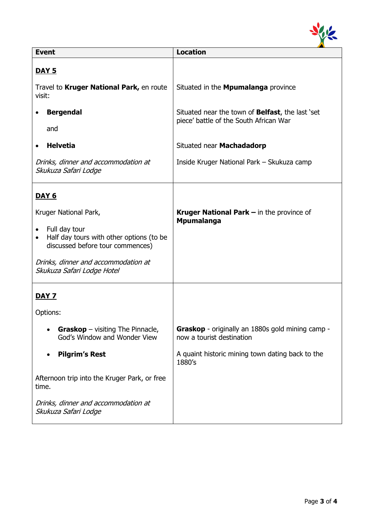

| <b>Event</b>                                                                                                                                                                                                          | <b>Location</b>                                                                            |
|-----------------------------------------------------------------------------------------------------------------------------------------------------------------------------------------------------------------------|--------------------------------------------------------------------------------------------|
| <b>DAY 5</b>                                                                                                                                                                                                          |                                                                                            |
| Travel to Kruger National Park, en route<br>visit:                                                                                                                                                                    | Situated in the <b>Mpumalanga</b> province                                                 |
| <b>Bergendal</b><br>and                                                                                                                                                                                               | Situated near the town of Belfast, the last 'set<br>piece' battle of the South African War |
| <b>Helvetia</b><br>$\bullet$                                                                                                                                                                                          | Situated near Machadadorp                                                                  |
| Drinks, dinner and accommodation at<br>Skukuza Safari Lodge                                                                                                                                                           | Inside Kruger National Park - Skukuza camp                                                 |
| <b>DAY 6</b>                                                                                                                                                                                                          |                                                                                            |
| Kruger National Park,<br>Full day tour<br>$\bullet$<br>Half day tours with other options (to be<br>$\bullet$<br>discussed before tour commences)<br>Drinks, dinner and accommodation at<br>Skukuza Safari Lodge Hotel | Kruger National Park - in the province of<br><b>Mpumalanga</b>                             |
| <u>DAY 7</u>                                                                                                                                                                                                          |                                                                                            |
| Options:                                                                                                                                                                                                              |                                                                                            |
| <b>Graskop</b> – visiting The Pinnacle,<br>God's Window and Wonder View                                                                                                                                               | Graskop - originally an 1880s gold mining camp -<br>now a tourist destination              |
| <b>Pilgrim's Rest</b>                                                                                                                                                                                                 | A quaint historic mining town dating back to the<br>1880's                                 |
| Afternoon trip into the Kruger Park, or free<br>time.                                                                                                                                                                 |                                                                                            |
| Drinks, dinner and accommodation at<br>Skukuza Safari Lodge                                                                                                                                                           |                                                                                            |